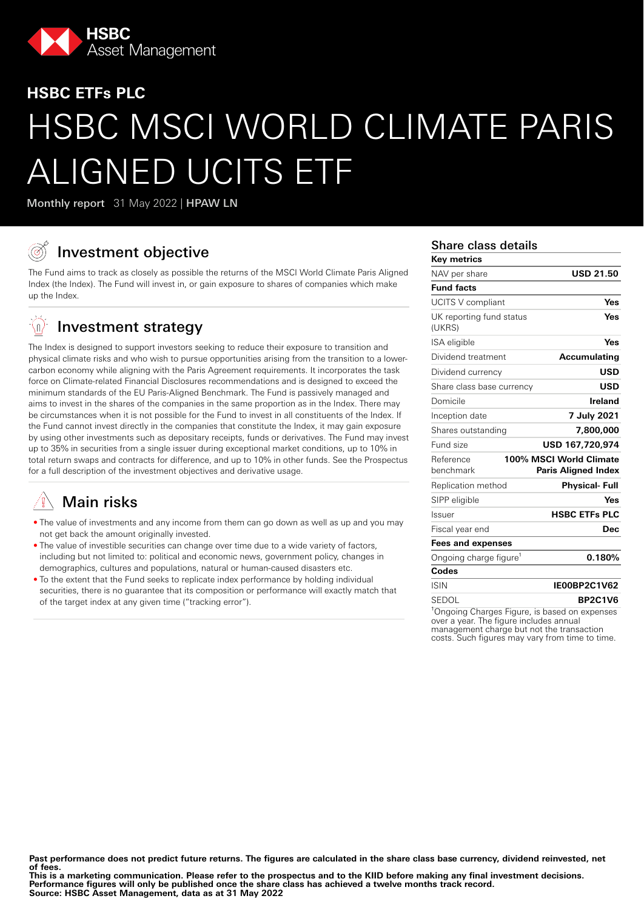

# **HSBC ETFs PLC** HSBC MSCI WORLD CLIMATE PARIS ALIGNED UCITS ETF

Monthly report 31 May 2022 | HPAW LN

# Investment objective

The Fund aims to track as closely as possible the returns of the MSCI World Climate Paris Aligned Index (the Index). The Fund will invest in, or gain exposure to shares of companies which make up the Index.

#### $\mathbb{Q}$ Investment strategy

The Index is designed to support investors seeking to reduce their exposure to transition and physical climate risks and who wish to pursue opportunities arising from the transition to a lowercarbon economy while aligning with the Paris Agreement requirements. It incorporates the task force on Climate-related Financial Disclosures recommendations and is designed to exceed the minimum standards of the EU Paris-Aligned Benchmark. The Fund is passively managed and aims to invest in the shares of the companies in the same proportion as in the Index. There may be circumstances when it is not possible for the Fund to invest in all constituents of the Index. If the Fund cannot invest directly in the companies that constitute the Index, it may gain exposure by using other investments such as depositary receipts, funds or derivatives. The Fund may invest up to 35% in securities from a single issuer during exceptional market conditions, up to 10% in total return swaps and contracts for difference, and up to 10% in other funds. See the Prospectus for a full description of the investment objectives and derivative usage.

# Main risks

- The value of investments and any income from them can go down as well as up and you may not get back the amount originally invested.
- The value of investible securities can change over time due to a wide variety of factors, including but not limited to: political and economic news, government policy, changes in demographics, cultures and populations, natural or human-caused disasters etc.
- To the extent that the Fund seeks to replicate index performance by holding individual securities, there is no guarantee that its composition or performance will exactly match that of the target index at any given time ("tracking error").

#### Share class details

| <b>Key metrics</b>                 |                                                |
|------------------------------------|------------------------------------------------|
| NAV per share                      | <b>USD 21.50</b>                               |
| <b>Fund facts</b>                  |                                                |
| <b>UCITS V compliant</b>           | Yes                                            |
| UK reporting fund status<br>(UKRS) | Yes                                            |
| ISA eligible                       | Yes                                            |
| Dividend treatment                 | <b>Accumulating</b>                            |
| Dividend currency                  | USD                                            |
| Share class base currency          | <b>USD</b>                                     |
| Domicile                           | Ireland                                        |
| Inception date                     | 7 July 2021                                    |
| Shares outstanding                 | 7,800,000                                      |
| Fund size                          | USD 167.720.974                                |
| Reference<br>benchmark             | 100% MSCI World Climate<br>Paris Aligned Index |
| Replication method                 | Physical- Full                                 |
| SIPP eligible                      | Yes                                            |
| Issuer                             | <b>HSBC ETFs PLC</b>                           |
| Fiscal year end                    | <b>Dec</b>                                     |
| <b>Fees and expenses</b>           |                                                |
| Ongoing charge figure <sup>1</sup> | 0.180%                                         |
| Codes                              |                                                |
| <b>ISIN</b>                        | IE00BP2C1V62                                   |
| <b>SEDOL</b>                       | <b>BP2C1V6</b>                                 |

<sup>1</sup>Ongoing Charges Figure, is based on expenses over a year. The figure includes annual management charge but not the transaction costs. Such figures may vary from time to time.

Past performance does not predict future returns. The figures are calculated in the share class base currency, dividend reinvested, net **of fees.**

**This is a marketing communication. Please refer to the prospectus and to the KIID before making any final investment decisions. Performance figures will only be published once the share class has achieved a twelve months track record. Source: HSBC Asset Management, data as at 31 May 2022**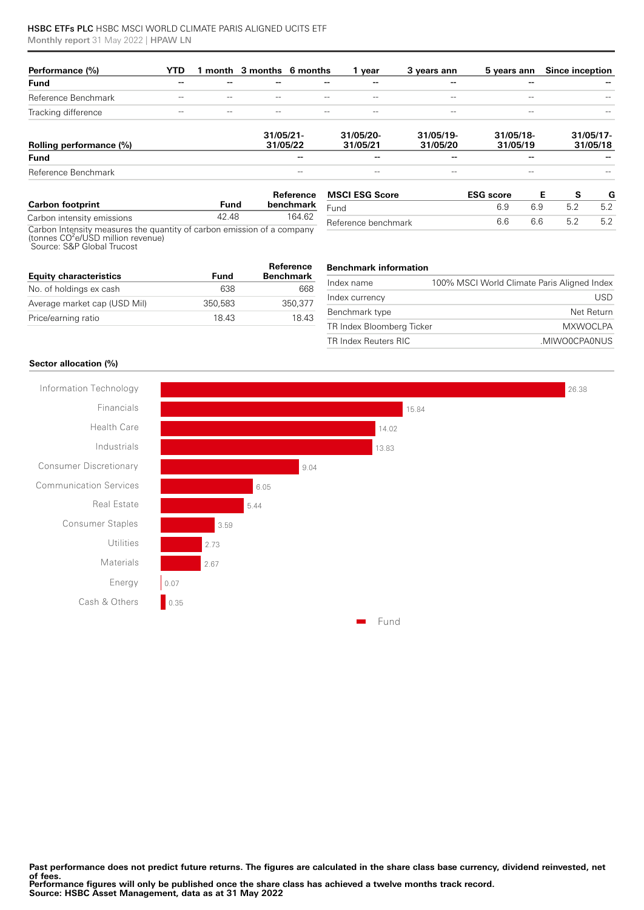#### HSBC ETFs PLC HSBC MSCI WORLD CLIMATE PARIS ALIGNED UCITS ETF Monthly report 31 May 2022 | HPAW LN

| Performance (%)         | YTD   |       | 1 month 3 months 6 months |                   | 1 vear                | 3 years ann           | 5 years ann           | Since inception          |
|-------------------------|-------|-------|---------------------------|-------------------|-----------------------|-----------------------|-----------------------|--------------------------|
| <b>Fund</b>             | --    | --    | --                        |                   | --                    | --                    | --                    |                          |
| Reference Benchmark     | $- -$ | $- -$ | $- -$                     |                   | $\qquad \qquad -$     | $-\,-$                | $- -$                 |                          |
| Tracking difference     | $- -$ | $- -$ | $- -$                     | $- -$             | $- -$                 | $\qquad \qquad -$     | $- -$                 |                          |
| Rolling performance (%) |       |       | 31/05/21<br>31/05/22      |                   | 31/05/20-<br>31/05/21 | 31/05/19-<br>31/05/20 | 31/05/18-<br>31/05/19 | $31/05/17$ -<br>31/05/18 |
| <b>Fund</b>             |       |       |                           | --                | --                    | --                    | --                    |                          |
| Reference Benchmark     |       |       |                           | $\qquad \qquad -$ | $- -$                 | $\qquad \qquad -$     | --                    |                          |

| <b>Carbon footprint</b>                                                | Fund  | Reference<br>benchmark |
|------------------------------------------------------------------------|-------|------------------------|
| Carbon intensity emissions                                             | 42.48 | 164 62                 |
| Carbon Intensity measures the quantity of carbon emission of a company |       |                        |

| Carboll intensity measures the quantity of carboll emission of a comp |  |
|-----------------------------------------------------------------------|--|
| (tonnes CO <sup>2</sup> e/USD million revenue)                        |  |
| Source: S&P Global Trucost                                            |  |

| <b>Equity characteristics</b> | Fund    | Reference<br><b>Benchmark</b> |
|-------------------------------|---------|-------------------------------|
| No. of holdings ex cash       | 638     | 668                           |
| Average market cap (USD Mil)  | 350.583 | 350.377                       |
| Price/earning ratio           | 1843    | 1843                          |

| Reference benchmark | 66 | 66 | 52 | 5.2 |
|---------------------|----|----|----|-----|
|                     |    |    |    |     |

| <b>Benchmark information</b> |  |
|------------------------------|--|
|------------------------------|--|

| Index name                | 100% MSCI World Climate Paris Aligned Index |
|---------------------------|---------------------------------------------|
| Index currency            | USD.                                        |
| Benchmark type            | Net Return                                  |
| TR Index Bloomberg Ticker | <b>MXWOCLPA</b>                             |
| TR Index Reuters RIC      | .MIWO0CPA0NUS                               |

**MSCI ESG Score ESG score E S G**<br>Fund **6.9 6.9 6.2 5.2 5.2** Fund 6.9 6.9 5.2 5.2

#### **Sector allocation (%)**

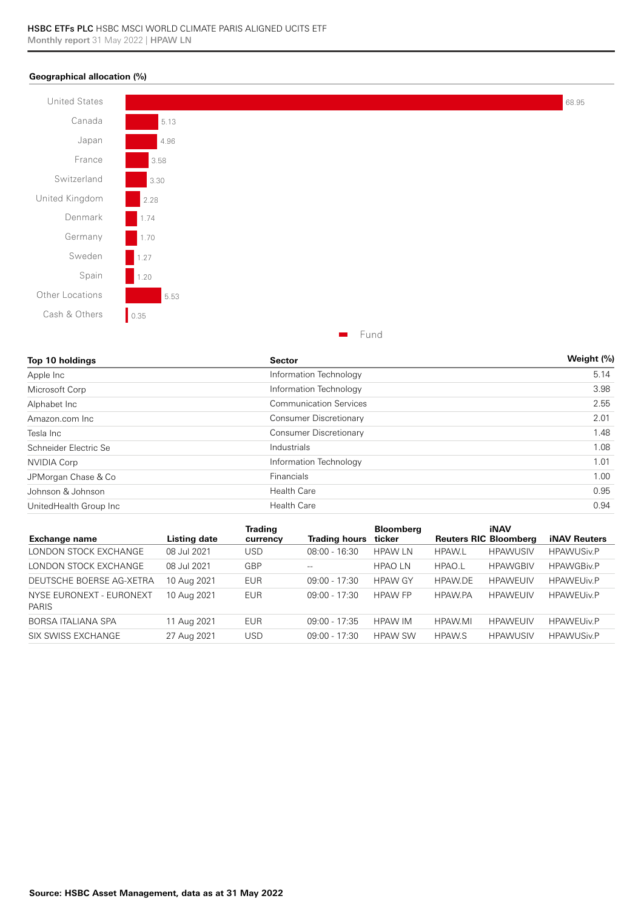#### **Geographical allocation (%)**



| Top 10 holdings        | <b>Sector</b>                 | Weight (%) |
|------------------------|-------------------------------|------------|
| Apple Inc              | Information Technology        | 5.14       |
| Microsoft Corp         | Information Technology        | 3.98       |
| Alphabet Inc           | <b>Communication Services</b> | 2.55       |
| Amazon.com Inc         | Consumer Discretionary        | 2.01       |
| Tesla Inc              | Consumer Discretionary        | 1.48       |
| Schneider Electric Se  | Industrials                   | 1.08       |
| <b>NVIDIA Corp</b>     | Information Technology        | 1.01       |
| JPMorgan Chase & Co    | Financials                    | 1.00       |
| Johnson & Johnson      | <b>Health Care</b>            | 0.95       |
| UnitedHealth Group Inc | <b>Health Care</b>            | 0.94       |

| <b>Exchange name</b>                     | Listing date | Trading<br>currency | Trading hours   | <b>Bloomberg</b><br>ticker | <b>Reuters RIC Bloomberg</b> | <b>iNAV</b>     | <b>iNAV Reuters</b> |
|------------------------------------------|--------------|---------------------|-----------------|----------------------------|------------------------------|-----------------|---------------------|
| LONDON STOCK EXCHANGE                    | 08 Jul 2021  | USD                 | $08:00 - 16:30$ | <b>HPAW LN</b>             | <b>HPAW.L</b>                | <b>HPAWUSIV</b> | <b>HPAWUSiv.P</b>   |
| LONDON STOCK EXCHANGE                    | 08 Jul 2021  | GBP                 | $- -$           | <b>HPAOLN</b>              | HPAO.L                       | <b>HPAWGBIV</b> | <b>HPAWGBiv.P</b>   |
| DEUTSCHE BOERSE AG-XETRA                 | 10 Aug 2021  | <b>EUR</b>          | $09:00 - 17:30$ | <b>HPAW GY</b>             | <b>HPAW.DE</b>               | <b>HPAWEUIV</b> | <b>HPAWEUIv.P</b>   |
| NYSE EURONEXT - EURONEXT<br><b>PARIS</b> | 10 Aug 2021  | EUR                 | $09:00 - 17:30$ | <b>HPAW FP</b>             | <b>HPAW.PA</b>               | <b>HPAWEUIV</b> | <b>HPAWEUIv.P</b>   |
| BORSA ITALIANA SPA                       | 11 Aug 2021  | <b>EUR</b>          | $09:00 - 17:35$ | <b>HPAW IM</b>             | HPAW.MI                      | <b>HPAWEUIV</b> | <b>HPAWEUJv.P</b>   |
| SIX SWISS EXCHANGE                       | 27 Aug 2021  | USD                 | $09:00 - 17:30$ | <b>HPAW SW</b>             | <b>HPAW.S</b>                | <b>HPAWUSIV</b> | <b>HPAWUSiv.P</b>   |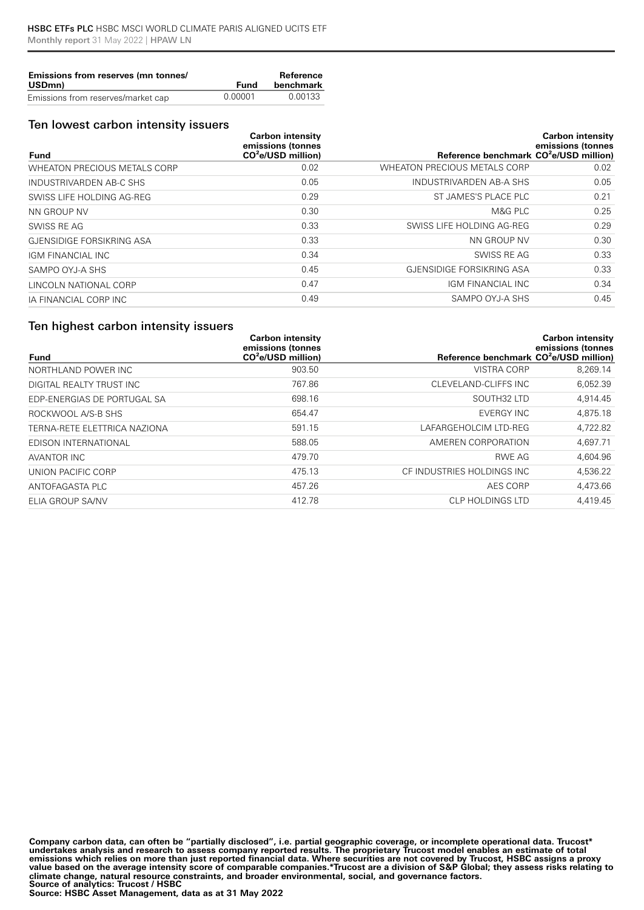| Emissions from reserves (mn tonnes/<br>USDmn) | Fund    | Reference<br>benchmark |
|-----------------------------------------------|---------|------------------------|
| Emissions from reserves/market cap            | 0.00001 | 0.00133                |

#### Ten lowest carbon intensity issuers

|                                     | <b>Carbon intensity</b><br>emissions (tonnes |                                                    | <b>Carbon intensity</b><br>emissions (tonnes |
|-------------------------------------|----------------------------------------------|----------------------------------------------------|----------------------------------------------|
| <b>Fund</b>                         | $CO2e/USD$ million)                          | Reference benchmark CO <sup>2</sup> e/USD million) |                                              |
| <b>WHEATON PRECIOUS METALS CORP</b> | 0.02                                         | <b>WHEATON PRECIOUS METALS CORP</b>                | 0.02                                         |
| INDUSTRIVARDEN AB-C SHS             | 0.05                                         | INDUSTRIVARDEN AB-A SHS                            | 0.05                                         |
| SWISS LIFE HOLDING AG-REG           | 0.29                                         | ST JAMES'S PLACE PLC                               | 0.21                                         |
| NN GROUP NV                         | 0.30                                         | M&G PLC                                            | 0.25                                         |
| SWISS RE AG                         | 0.33                                         | SWISS LIFE HOLDING AG-REG                          | 0.29                                         |
| GJENSIDIGE FORSIKRING ASA           | 0.33                                         | NN GROUP NV                                        | 0.30                                         |
| IGM FINANCIAL INC                   | 0.34                                         | SWISS RE AG                                        | 0.33                                         |
| SAMPO OYJ-A SHS                     | 0.45                                         | GJENSIDIGE FORSIKRING ASA                          | 0.33                                         |
| LINCOLN NATIONAL CORP               | 0.47                                         | IGM FINANCIAL INC                                  | 0.34                                         |
| IA FINANCIAL CORP INC               | 0.49                                         | SAMPO OYJ-A SHS                                    | 0.45                                         |

## Ten highest carbon intensity issuers

|                              | <b>Carbon intensity</b><br>emissions (tonnes |                                                    | <b>Carbon intensity</b><br>emissions (tonnes |
|------------------------------|----------------------------------------------|----------------------------------------------------|----------------------------------------------|
| <b>Fund</b>                  | $CO2e/USD$ million)                          | Reference benchmark CO <sup>2</sup> e/USD million) |                                              |
| NORTHLAND POWER INC          | 903.50                                       | <b>VISTRA CORP</b>                                 | 8,269.14                                     |
| DIGITAL REALTY TRUST INC     | 767.86                                       | CLEVELAND-CLIFFS INC                               | 6,052.39                                     |
| EDP-ENERGIAS DE PORTUGAL SA  | 698.16                                       | SOUTH <sub>32</sub> LTD                            | 4,914.45                                     |
| ROCKWOOL A/S-B SHS           | 654.47                                       | <b>EVERGY INC</b>                                  | 4,875.18                                     |
| TERNA-RETE ELETTRICA NAZIONA | 591.15                                       | LAFARGEHOLCIM LTD-REG                              | 4,722.82                                     |
| EDISON INTERNATIONAL         | 588.05                                       | AMEREN CORPORATION                                 | 4,697.71                                     |
| AVANTOR INC                  | 479.70                                       | RWE AG                                             | 4,604.96                                     |
| UNION PACIFIC CORP           | 475.13                                       | CF INDUSTRIES HOLDINGS INC                         | 4,536.22                                     |
| ANTOFAGASTA PLC              | 457.26                                       | AES CORP                                           | 4,473.66                                     |
| ELIA GROUP SA/NV             | 412.78                                       | CLP HOLDINGS LTD                                   | 4.419.45                                     |

**Company carbon data, can often be "partially disclosed", i.e. partial geographic coverage, or incomplete operational data. Trucost\***  undertakes analysis and research to assess company reported results. The proprietary Trucost model enables an estimate of total<br>emissions which relies on more than just reported financial data. Where securities are not cov **value based on the average intensity score of comparable companies.\*Trucost are a division of S&P Global; they assess risks relating to climate change, natural resource constraints, and broader environmental, social, and governance factors. Source of analytics: Trucost / HSBC**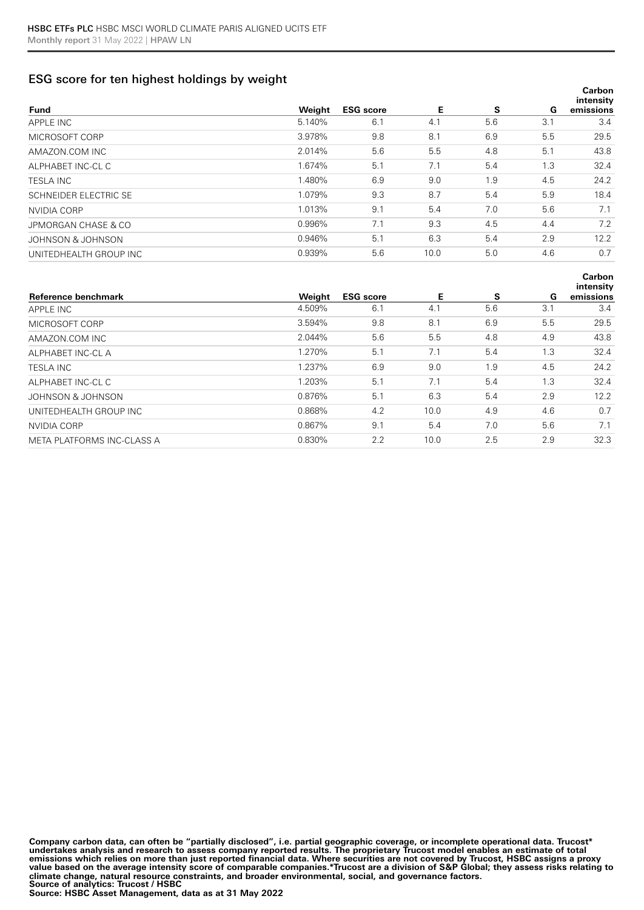# ESG score for ten highest holdings by weight

| <b>Fund</b>            | Weight | <b>ESG</b> score | Е    | s   | G   | Carbon<br>intensity<br>emissions |
|------------------------|--------|------------------|------|-----|-----|----------------------------------|
| APPLE INC              | 5.140% | 6.1              | 4.1  | 5.6 | 3.1 | 3.4                              |
| MICROSOFT CORP         | 3.978% | 9.8              | 8.1  | 6.9 | 5.5 | 29.5                             |
| AMAZON.COM INC         | 2.014% | 5.6              | 5.5  | 4.8 | 5.1 | 43.8                             |
| ALPHABET INC-CL C      | 1.674% | 5.1              | 7.1  | 5.4 | 1.3 | 32.4                             |
| <b>TESLA INC</b>       | 1.480% | 6.9              | 9.0  | 1.9 | 4.5 | 24.2                             |
| SCHNEIDER ELECTRIC SE  | 1.079% | 9.3              | 8.7  | 5.4 | 5.9 | 18.4                             |
| NVIDIA CORP            | 1.013% | 9.1              | 5.4  | 7.0 | 5.6 | 7.1                              |
| JPMORGAN CHASE & CO    | 0.996% | 7.1              | 9.3  | 4.5 | 4.4 | 7.2                              |
| JOHNSON & JOHNSON      | 0.946% | 5.1              | 6.3  | 5.4 | 2.9 | 12.2                             |
| UNITEDHEALTH GROUP INC | 0.939% | 5.6              | 10.0 | 5.0 | 4.6 | 0.7                              |
|                        |        |                  |      |     |     |                                  |

| Reference benchmark        | Weight | <b>ESG</b> score | Е    | S   | G   | intensity<br>emissions |
|----------------------------|--------|------------------|------|-----|-----|------------------------|
| APPLE INC                  | 4.509% | 6.1              | 4.1  | 5.6 | 3.1 | 3.4                    |
| MICROSOFT CORP             | 3.594% | 9.8              | 8.1  | 6.9 | 5.5 | 29.5                   |
| AMAZON.COM INC             | 2.044% | 5.6              | 5.5  | 4.8 | 4.9 | 43.8                   |
| ALPHABET INC-CL A          | 1.270% | 5.1              | 7.1  | 5.4 | 1.3 | 32.4                   |
| <b>TESLA INC</b>           | 1.237% | 6.9              | 9.0  | 1.9 | 4.5 | 24.2                   |
| ALPHABET INC-CL C          | 1.203% | 5.1              | 7.1  | 5.4 | 1.3 | 32.4                   |
| JOHNSON & JOHNSON          | 0.876% | 5.1              | 6.3  | 5.4 | 2.9 | 12.2                   |
| UNITEDHEALTH GROUP INC     | 0.868% | 4.2              | 10.0 | 4.9 | 4.6 | 0.7                    |
| NVIDIA CORP                | 0.867% | 9.1              | 5.4  | 7.0 | 5.6 | 7.1                    |
| META PLATFORMS INC-CLASS A | 0.830% | 2.2              | 10.0 | 2.5 | 2.9 | 32.3                   |

**Carbon** 

**Company carbon data, can often be "partially disclosed", i.e. partial geographic coverage, or incomplete operational data. Trucost\***  undertakes analysis and research to assess company reported results. The proprietary Trucost model enables an estimate of total<br>emissions which relies on more than just reported financial data. Where securities are not cov **value based on the average intensity score of comparable companies.\*Trucost are a division of S&P Global; they assess risks relating to climate change, natural resource constraints, and broader environmental, social, and governance factors. Source of analytics: Trucost / HSBC**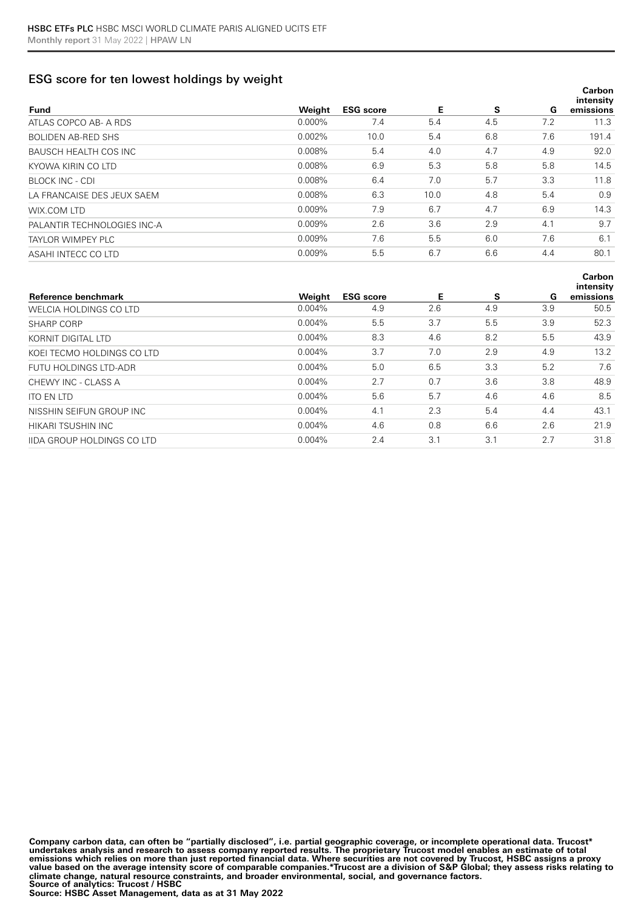## ESG score for ten lowest holdings by weight

| <b>Fund</b>                  | Weight    | <b>ESG</b> score | Е    | s   | G   | Carbon<br>intensity<br>emissions |
|------------------------------|-----------|------------------|------|-----|-----|----------------------------------|
| ATLAS COPCO AB- A RDS        | $0.000\%$ | 7.4              | 5.4  | 4.5 | 7.2 | 11.3                             |
| <b>BOLIDEN AB-RED SHS</b>    | 0.002%    | 10.0             | 5.4  | 6.8 | 7.6 | 191.4                            |
| <b>BAUSCH HEALTH COS INC</b> | 0.008%    | 5.4              | 4.0  | 4.7 | 4.9 | 92.0                             |
| KYOWA KIRIN CO LTD           | 0.008%    | 6.9              | 5.3  | 5.8 | 5.8 | 14.5                             |
| BLOCK INC - CDI              | 0.008%    | 6.4              | 7.0  | 5.7 | 3.3 | 11.8                             |
| LA FRANCAISE DES JEUX SAEM   | 0.008%    | 6.3              | 10.0 | 4.8 | 5.4 | 0.9                              |
| WIX.COM LTD                  | 0.009%    | 7.9              | 6.7  | 4.7 | 6.9 | 14.3                             |
| PALANTIR TECHNOLOGIES INC-A  | 0.009%    | 2.6              | 3.6  | 2.9 | 4.1 | 9.7                              |
| TAYLOR WIMPEY PLC            | 0.009%    | 7.6              | 5.5  | 6.0 | 7.6 | 6.1                              |
| ASAHI INTECC CO LTD          | 0.009%    | 5.5              | 6.7  | 6.6 | 4.4 | 80.1                             |
|                              |           |                  |      |     |     |                                  |

| Reference benchmark               | Weight    | <b>ESG</b> score | Е   | <b>S</b> | G   | intensity<br>emissions |
|-----------------------------------|-----------|------------------|-----|----------|-----|------------------------|
| WELCIA HOLDINGS CO LTD            | $0.004\%$ | 4.9              | 2.6 | 4.9      | 3.9 | 50.5                   |
| SHARP CORP                        | 0.004%    | 5.5              | 3.7 | 5.5      | 3.9 | 52.3                   |
| KORNIT DIGITAL LTD                | $0.004\%$ | 8.3              | 4.6 | 8.2      | 5.5 | 43.9                   |
| KOEI TECMO HOLDINGS CO LTD        | 0.004%    | 3.7              | 7.0 | 2.9      | 4.9 | 13.2                   |
| FUTU HOLDINGS LTD-ADR             | 0.004%    | 5.0              | 6.5 | 3.3      | 5.2 | 7.6                    |
| CHEWY INC - CLASS A               | 0.004%    | 2.7              | 0.7 | 3.6      | 3.8 | 48.9                   |
| <b>ITO EN LTD</b>                 | 0.004%    | 5.6              | 5.7 | 4.6      | 4.6 | 8.5                    |
| NISSHIN SEIFUN GROUP INC          | $0.004\%$ | 4.1              | 2.3 | 5.4      | 4.4 | 43.1                   |
| HIKARI TSUSHIN INC                | $0.004\%$ | 4.6              | 0.8 | 6.6      | 2.6 | 21.9                   |
| <b>IIDA GROUP HOLDINGS CO LTD</b> | 0.004%    | 2.4              | 3.1 | 3.1      | 2.7 | 31.8                   |

**Carbon** 

**Company carbon data, can often be "partially disclosed", i.e. partial geographic coverage, or incomplete operational data. Trucost\***  undertakes analysis and research to assess company reported results. The proprietary Trucost model enables an estimate of total<br>emissions which relies on more than just reported financial data. Where securities are not cov **value based on the average intensity score of comparable companies.\*Trucost are a division of S&P Global; they assess risks relating to climate change, natural resource constraints, and broader environmental, social, and governance factors. Source of analytics: Trucost / HSBC**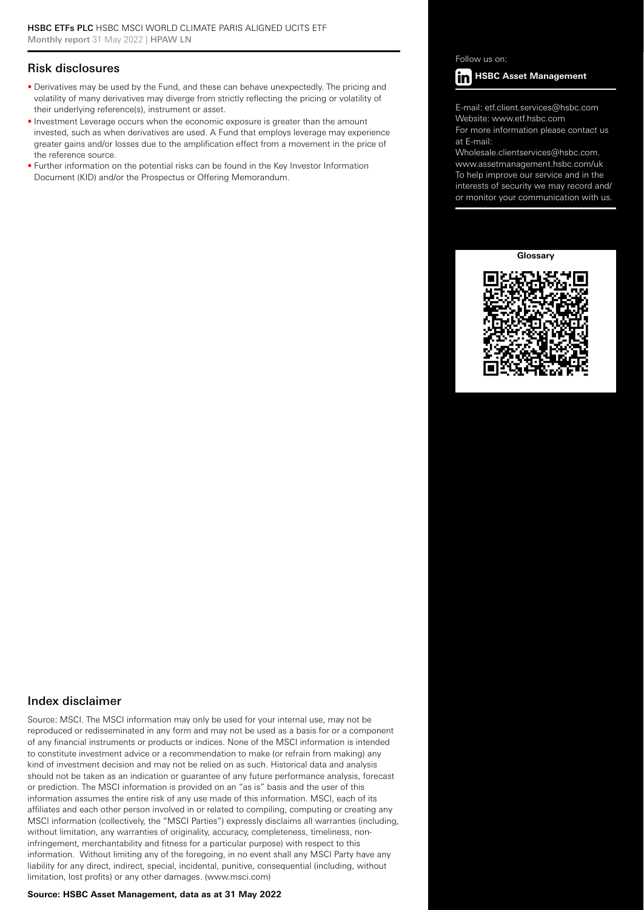### Risk disclosures

- Derivatives may be used by the Fund, and these can behave unexpectedly. The pricing and volatility of many derivatives may diverge from strictly reflecting the pricing or volatility of their underlying reference(s), instrument or asset.
- Investment Leverage occurs when the economic exposure is greater than the amount invested, such as when derivatives are used. A Fund that employs leverage may experience greater gains and/or losses due to the amplification effect from a movement in the price of the reference source.
- Further information on the potential risks can be found in the Key Investor Information Document (KID) and/or the Prospectus or Offering Memorandum.

Follow us on:



E-mail: etf.client.services@hsbc.com Website: www.etf.hsbc.com

For more information please contact us at E-mail:

Wholesale.clientservices@hsbc.com. www.assetmanagement.hsbc.com/uk To help improve our service and in the interests of security we may record and/ or monitor your communication with us.





#### Index disclaimer

Source: MSCI. The MSCI information may only be used for your internal use, may not be reproduced or redisseminated in any form and may not be used as a basis for or a component of any financial instruments or products or indices. None of the MSCI information is intended to constitute investment advice or a recommendation to make (or refrain from making) any kind of investment decision and may not be relied on as such. Historical data and analysis should not be taken as an indication or guarantee of any future performance analysis, forecast or prediction. The MSCI information is provided on an "as is" basis and the user of this information assumes the entire risk of any use made of this information. MSCI, each of its affiliates and each other person involved in or related to compiling, computing or creating any MSCI information (collectively, the "MSCI Parties") expressly disclaims all warranties (including, without limitation, any warranties of originality, accuracy, completeness, timeliness, noninfringement, merchantability and fitness for a particular purpose) with respect to this information. Without limiting any of the foregoing, in no event shall any MSCI Party have any liability for any direct, indirect, special, incidental, punitive, consequential (including, without limitation, lost profits) or any other damages. (www.msci.com)